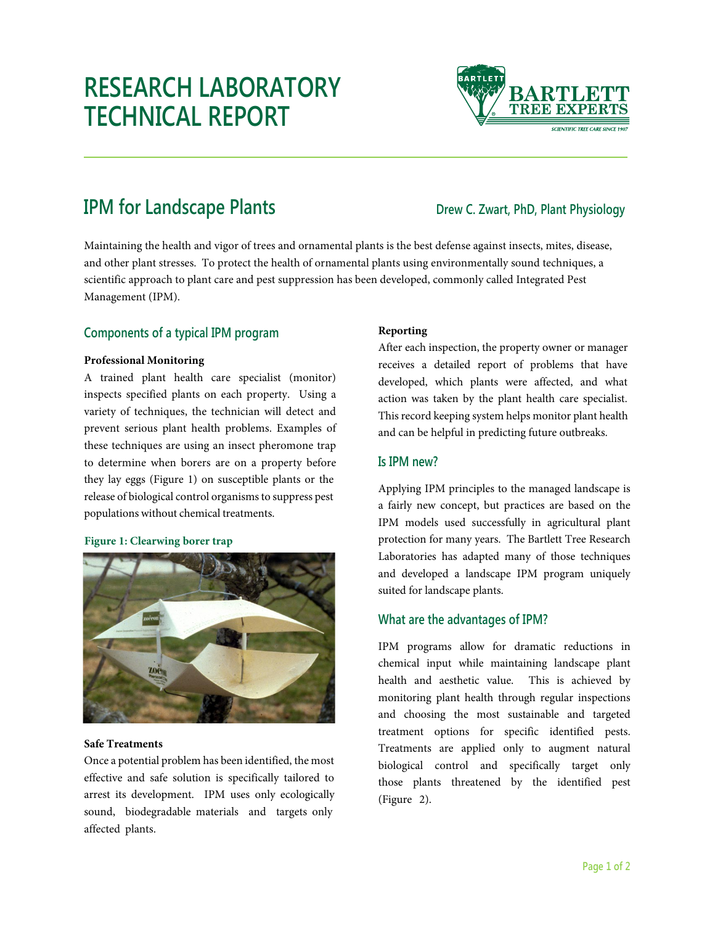# **RESEARCH LABORATORY TECHNICAL REPORT**



## **IPM for Landscape Plants** *Drew C. Zwart, PhD, Plant Physiology*

Maintaining the health and vigor of trees and ornamental plants is the best defense against insects, mites, disease, and other plant stresses. To protect the health of ornamental plants using environmentally sound techniques, a scientific approach to plant care and pest suppression has been developed, commonly called Integrated Pest Management (IPM).

### **Components of a typical IPM program**

#### **Professional Monitoring**

A trained plant health care specialist (monitor) inspects specified plants on each property. Using a variety of techniques, the technician will detect and prevent serious plant health problems. Examples of these techniques are using an insect pheromone trap to determine when borers are on a property before they lay eggs (Figure 1) on susceptible plants or the release of biological control organisms to suppress pest populations without chemical treatments.

#### **Figure 1: Clearwing borer trap**



#### **Safe Treatments**

Once a potential problem has been identified, the most effective and safe solution is specifically tailored to arrest its development. IPM uses only ecologically sound, biodegradable materials and targets only affected plants.

#### **Reporting**

After each inspection, the property owner or manager receives a detailed report of problems that have developed, which plants were affected, and what action was taken by the plant health care specialist. This record keeping system helps monitor plant health and can be helpful in predicting future outbreaks.

#### **Is IPM new?**

Applying IPM principles to the managed landscape is a fairly new concept, but practices are based on the IPM models used successfully in agricultural plant protection for many years. The Bartlett Tree Research Laboratories has adapted many of those techniques and developed a landscape IPM program uniquely suited for landscape plants.

### **What are the advantages of IPM?**

IPM programs allow for dramatic reductions in chemical input while maintaining landscape plant health and aesthetic value. This is achieved by monitoring plant health through regular inspections and choosing the most sustainable and targeted treatment options for specific identified pests. Treatments are applied only to augment natural biological control and specifically target only those plants threatened by the identified pest (Figure 2).